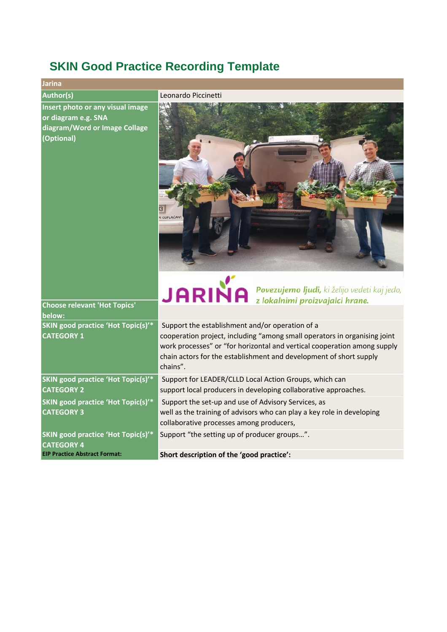## **SKIN Good Practice Recording Template**

| Jarina                                                                                                                                        |                                                                                                                                                                                                                                                                                            |
|-----------------------------------------------------------------------------------------------------------------------------------------------|--------------------------------------------------------------------------------------------------------------------------------------------------------------------------------------------------------------------------------------------------------------------------------------------|
| <b>Author(s)</b>                                                                                                                              | Leonardo Piccinetti                                                                                                                                                                                                                                                                        |
| Insert photo or any visual image<br>or diagram e.g. SNA<br>diagram/Word or Image Collage<br>(Optional)<br><b>Choose relevant 'Hot Topics'</b> | M ODPLAČAN<br>$JARINA$ Povezujemo ljudi, ki želijo vedeti kaj jedo,                                                                                                                                                                                                                        |
| below:                                                                                                                                        |                                                                                                                                                                                                                                                                                            |
| SKIN good practice 'Hot Topic(s)'*<br><b>CATEGORY 1</b>                                                                                       | Support the establishment and/or operation of a<br>cooperation project, including "among small operators in organising joint<br>work processes" or "for horizontal and vertical cooperation among supply<br>chain actors for the establishment and development of short supply<br>chains". |
| SKIN good practice 'Hot Topic(s)'*<br><b>CATEGORY 2</b>                                                                                       | Support for LEADER/CLLD Local Action Groups, which can<br>support local producers in developing collaborative approaches.                                                                                                                                                                  |
| <b>SKIN good practice 'Hot Topic(s)'*</b><br><b>CATEGORY 3</b>                                                                                | Support the set-up and use of Advisory Services, as<br>well as the training of advisors who can play a key role in developing<br>collaborative processes among producers,                                                                                                                  |
| SKIN good practice 'Hot Topic(s)'*<br><b>CATEGORY 4</b>                                                                                       | Support "the setting up of producer groups".                                                                                                                                                                                                                                               |

**EIP Practice Abstract Format:**

**Short description of the 'good practice':**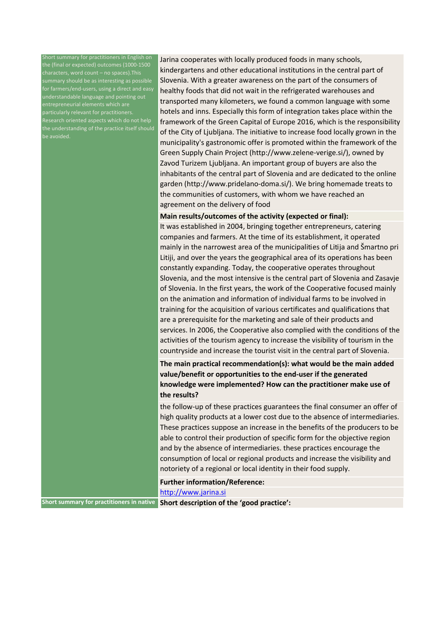hort summary for practitioners in English on the (final or expected) outcomes (1000-1500 summary should be as interesting as possible understandable language and pointing out entrepreneurial elements which are reprenter are coments when every Pesearch oriented aspects which do not help the understanding of the practice itself should

Jarina cooperates with locally produced foods in many schools, kindergartens and other educational institutions in the central part of Slovenia. With a greater awareness on the part of the consumers of healthy foods that did not wait in the refrigerated warehouses and transported many kilometers, we found a common language with some hotels and inns. Especially this form of integration takes place within the framework of the Green Capital of Europe 2016, which is the responsibility of the City of Ljubljana. The initiative to increase food locally grown in the municipality's gastronomic offer is promoted within the framework of the Green Supply Chain Project (http://www.zelene-verige.si/), owned by Zavod Turizem Ljubljana. An important group of buyers are also the inhabitants of the central part of Slovenia and are dedicated to the online garden (http://www.pridelano-doma.si/). We bring homemade treats to the communities of customers, with whom we have reached an agreement on the delivery of food

## **Main results/outcomes of the activity (expected or final):**

It was established in 2004, bringing together entrepreneurs, catering companies and farmers. At the time of its establishment, it operated mainly in the narrowest area of the municipalities of Litija and Šmartno pri Litiji, and over the years the geographical area of its operations has been constantly expanding. Today, the cooperative operates throughout Slovenia, and the most intensive is the central part of Slovenia and Zasavje of Slovenia. In the first years, the work of the Cooperative focused mainly on the animation and information of individual farms to be involved in training for the acquisition of various certificates and qualifications that are a prerequisite for the marketing and sale of their products and services. In 2006, the Cooperative also complied with the conditions of the activities of the tourism agency to increase the visibility of tourism in the countryside and increase the tourist visit in the central part of Slovenia.

**The main practical recommendation(s): what would be the main added value/benefit or opportunities to the end-user if the generated knowledge were implemented? How can the practitioner make use of the results?**

the follow-up of these practices guarantees the final consumer an offer of high quality products at a lower cost due to the absence of intermediaries. These practices suppose an increase in the benefits of the producers to be able to control their production of specific form for the objective region and by the absence of intermediaries. these practices encourage the consumption of local or regional products and increase the visibility and notoriety of a regional or local identity in their food supply.

## **Further information/Reference:**

[http://www.jarina.si](http://www.jarina.si/)

**Short summary for practitioners in native** Short description of the 'good practice':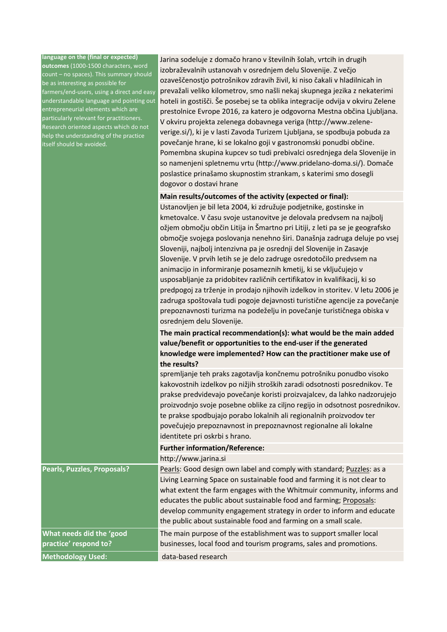| language on the (final or expected)<br>outcomes (1000-1500 characters, word<br>count - no spaces). This summary should<br>be as interesting as possible for<br>farmers/end-users, using a direct and easy<br>understandable language and pointing out<br>entrepreneurial elements which are<br>particularly relevant for practitioners.<br>Research oriented aspects which do not<br>help the understanding of the practice<br>itself should be avoided. | Jarina sodeluje z domačo hrano v številnih šolah, vrtcih in drugih<br>izobraževalnih ustanovah v osrednjem delu Slovenije. Z večjo<br>ozaveščenostjo potrošnikov zdravih živil, ki niso čakali v hladilnicah in<br>prevažali veliko kilometrov, smo našli nekaj skupnega jezika z nekaterimi<br>hoteli in gostišči. Še posebej se ta oblika integracije odvija v okviru Zelene<br>prestolnice Evrope 2016, za katero je odgovorna Mestna občina Ljubljana.<br>V okviru projekta zelenega dobavnega veriga (http://www.zelene-<br>verige.si/), ki je v lasti Zavoda Turizem Ljubljana, se spodbuja pobuda za<br>povečanje hrane, ki se lokalno goji v gastronomski ponudbi občine.<br>Pomembna skupina kupcev so tudi prebivalci osrednjega dela Slovenije in<br>so namenjeni spletnemu vrtu (http://www.pridelano-doma.si/). Domače<br>poslastice prinašamo skupnostim strankam, s katerimi smo dosegli<br>dogovor o dostavi hrane |
|----------------------------------------------------------------------------------------------------------------------------------------------------------------------------------------------------------------------------------------------------------------------------------------------------------------------------------------------------------------------------------------------------------------------------------------------------------|------------------------------------------------------------------------------------------------------------------------------------------------------------------------------------------------------------------------------------------------------------------------------------------------------------------------------------------------------------------------------------------------------------------------------------------------------------------------------------------------------------------------------------------------------------------------------------------------------------------------------------------------------------------------------------------------------------------------------------------------------------------------------------------------------------------------------------------------------------------------------------------------------------------------------------|
|                                                                                                                                                                                                                                                                                                                                                                                                                                                          | Main results/outcomes of the activity (expected or final):                                                                                                                                                                                                                                                                                                                                                                                                                                                                                                                                                                                                                                                                                                                                                                                                                                                                         |
|                                                                                                                                                                                                                                                                                                                                                                                                                                                          | Ustanovljen je bil leta 2004, ki združuje podjetnike, gostinske in<br>kmetovalce. V času svoje ustanovitve je delovala predvsem na najbolj<br>ožjem območju občin Litija in Šmartno pri Litiji, z leti pa se je geografsko<br>območje svojega poslovanja nenehno širi. Današnja zadruga deluje po vsej<br>Sloveniji, najbolj intenzivna pa je osrednji del Slovenije in Zasavje<br>Slovenije. V prvih letih se je delo zadruge osredotočilo predvsem na<br>animacijo in informiranje posameznih kmetij, ki se vključujejo v<br>usposabljanje za pridobitev različnih certifikatov in kvalifikacij, ki so<br>predpogoj za trženje in prodajo njihovih izdelkov in storitev. V letu 2006 je<br>zadruga spoštovala tudi pogoje dejavnosti turistične agencije za povečanje<br>prepoznavnosti turizma na podeželju in povečanje turističnega obiska v<br>osrednjem delu Slovenije.                                                     |
|                                                                                                                                                                                                                                                                                                                                                                                                                                                          | The main practical recommendation(s): what would be the main added                                                                                                                                                                                                                                                                                                                                                                                                                                                                                                                                                                                                                                                                                                                                                                                                                                                                 |
|                                                                                                                                                                                                                                                                                                                                                                                                                                                          | value/benefit or opportunities to the end-user if the generated                                                                                                                                                                                                                                                                                                                                                                                                                                                                                                                                                                                                                                                                                                                                                                                                                                                                    |
|                                                                                                                                                                                                                                                                                                                                                                                                                                                          | knowledge were implemented? How can the practitioner make use of<br>the results?                                                                                                                                                                                                                                                                                                                                                                                                                                                                                                                                                                                                                                                                                                                                                                                                                                                   |
|                                                                                                                                                                                                                                                                                                                                                                                                                                                          | spremljanje teh praks zagotavlja končnemu potrošniku ponudbo visoko<br>kakovostnih izdelkov po nižjih stroških zaradi odsotnosti posrednikov. Te<br>prakse predvidevajo povečanje koristi proizvajalcev, da lahko nadzorujejo<br>proizvodnjo svoje posebne oblike za ciljno regijo in odsotnost posrednikov.<br>te prakse spodbujajo porabo lokalnih ali regionalnih proizvodov ter<br>povečujejo prepoznavnost in prepoznavnost regionalne ali lokalne<br>identitete pri oskrbi s hrano.                                                                                                                                                                                                                                                                                                                                                                                                                                          |
|                                                                                                                                                                                                                                                                                                                                                                                                                                                          | <b>Further information/Reference:</b>                                                                                                                                                                                                                                                                                                                                                                                                                                                                                                                                                                                                                                                                                                                                                                                                                                                                                              |
|                                                                                                                                                                                                                                                                                                                                                                                                                                                          | http://www.jarina.si                                                                                                                                                                                                                                                                                                                                                                                                                                                                                                                                                                                                                                                                                                                                                                                                                                                                                                               |
| Pearls, Puzzles, Proposals?                                                                                                                                                                                                                                                                                                                                                                                                                              | Pearls: Good design own label and comply with standard; Puzzles: as a<br>Living Learning Space on sustainable food and farming it is not clear to<br>what extent the farm engages with the Whitmuir community, informs and<br>educates the public about sustainable food and farming; Proposals:<br>develop community engagement strategy in order to inform and educate<br>the public about sustainable food and farming on a small scale.                                                                                                                                                                                                                                                                                                                                                                                                                                                                                        |
| What needs did the 'good                                                                                                                                                                                                                                                                                                                                                                                                                                 | The main purpose of the establishment was to support smaller local                                                                                                                                                                                                                                                                                                                                                                                                                                                                                                                                                                                                                                                                                                                                                                                                                                                                 |
| practice' respond to?                                                                                                                                                                                                                                                                                                                                                                                                                                    | businesses, local food and tourism programs, sales and promotions.                                                                                                                                                                                                                                                                                                                                                                                                                                                                                                                                                                                                                                                                                                                                                                                                                                                                 |
| <b>Methodology Used:</b>                                                                                                                                                                                                                                                                                                                                                                                                                                 | data-based research                                                                                                                                                                                                                                                                                                                                                                                                                                                                                                                                                                                                                                                                                                                                                                                                                                                                                                                |